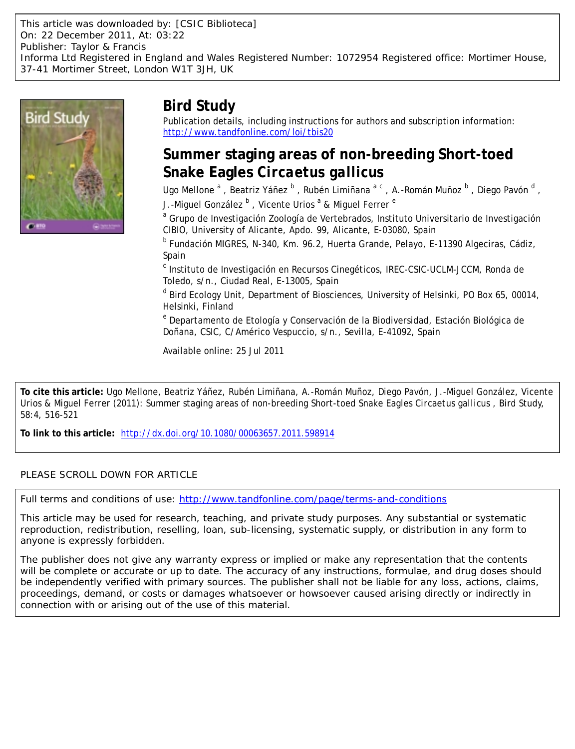This article was downloaded by: [CSIC Biblioteca] On: 22 December 2011, At: 03:22 Publisher: Taylor & Francis Informa Ltd Registered in England and Wales Registered Number: 1072954 Registered office: Mortimer House, 37-41 Mortimer Street, London W1T 3JH, UK



# **Bird Study**

Publication details, including instructions for authors and subscription information: <http://www.tandfonline.com/loi/tbis20>

# **Summer staging areas of non-breeding Short-toed Snake Eagles** *Circaetus gallicus*

Ugo Mellone<sup>a</sup>, Beatriz Yáñez <sup>b</sup>, Rubén Limiñana<sup>a c</sup>, A.-Román Muñoz <sup>b</sup>, Diego Pavón <sup>d</sup>, J.-Miguel González <sup>b</sup> , Vicente Urios <sup>a</sup> & Miguel Ferrer <sup>e</sup>

<sup>a</sup> Grupo de Investigación Zoología de Vertebrados, Instituto Universitario de Investigación CIBIO, University of Alicante, Apdo. 99, Alicante, E-03080, Spain

<sup>b</sup> Fundación MIGRES, N-340, Km. 96.2, Huerta Grande, Pelayo, E-11390 Algeciras, Cádiz, Spain

<sup>c</sup> Instituto de Investigación en Recursos Cinegéticos, IREC-CSIC-UCLM-JCCM, Ronda de Toledo, s/n., Ciudad Real, E-13005, Spain

<sup>d</sup> Bird Ecology Unit, Department of Biosciences, University of Helsinki, PO Box 65, 00014, Helsinki, Finland

<sup>e</sup> Departamento de Etología y Conservación de la Biodiversidad, Estación Biológica de Doñana, CSIC, C/Américo Vespuccio, s/n., Sevilla, E-41092, Spain

Available online: 25 Jul 2011

**To cite this article:** Ugo Mellone, Beatriz Yáñez, Rubén Limiñana, A.-Román Muñoz, Diego Pavón, J.-Miguel González, Vicente Urios & Miguel Ferrer (2011): Summer staging areas of non-breeding Short-toed Snake Eagles *Circaetus gallicus* , Bird Study, 58:4, 516-521

**To link to this article:** <http://dx.doi.org/10.1080/00063657.2011.598914>

### PLEASE SCROLL DOWN FOR ARTICLE

Full terms and conditions of use:<http://www.tandfonline.com/page/terms-and-conditions>

This article may be used for research, teaching, and private study purposes. Any substantial or systematic reproduction, redistribution, reselling, loan, sub-licensing, systematic supply, or distribution in any form to anyone is expressly forbidden.

The publisher does not give any warranty express or implied or make any representation that the contents will be complete or accurate or up to date. The accuracy of any instructions, formulae, and drug doses should be independently verified with primary sources. The publisher shall not be liable for any loss, actions, claims, proceedings, demand, or costs or damages whatsoever or howsoever caused arising directly or indirectly in connection with or arising out of the use of this material.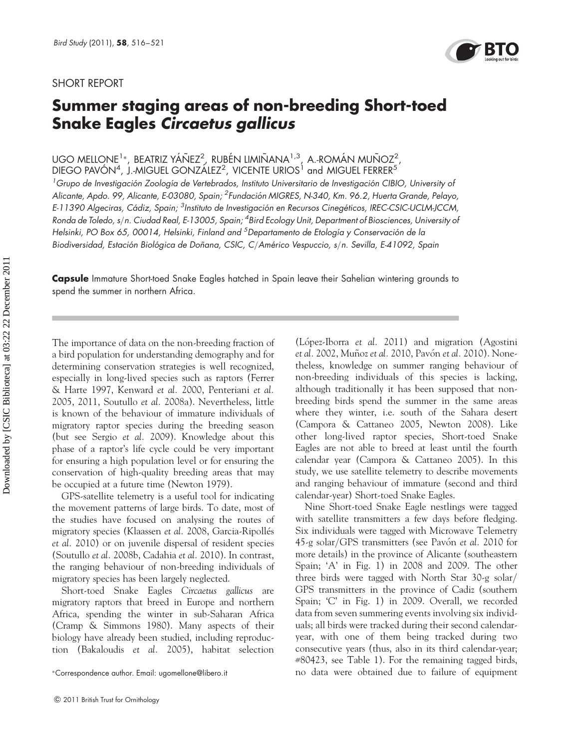### SHORT REPORT



# Summer staging areas of non-breeding Short-toed Snake Eagles Circaetus gallicus

UGO MELLONE $^1*$ , beatriz yáñez $^2$ , rubén limiñana $^{1,3}$ , a.-román muñoz $^2$ , DIEGO PAVÓN $^4$ , J.-MIGUEL GONZÁLEZ $^2$ , VICENTE URIOS $^1$  and MIGUEL FERRER $^5$ 

<sup>1</sup>Grupo de Investigación Zoología de Vertebrados, Instituto Universitario de Investigación CIBIO, University ot Alicante, Apdo. 99, Alicante, E-03080, Spain; <sup>2</sup>Fundación MIGRES, N-340, Km. 96.2, Huerta Grande, Pelayo, E-11390 Algeciras, Cádiz, Spain; <sup>3</sup>Instituto de Investigación en Recursos Cinegéticos, IREC-CSIC-UCLM-JCCM, Ronda de Toledo, s/n. Ciudad Real, E-13005, Spain; <sup>4</sup>Bird Ecology Unit, Department of Biosciences, University o*f* Helsinki, PO Box 65, 00014, Helsinki, Finland and <sup>5</sup>Departamento de Etología y Conservación de la Biodiversidad, Estación Biológica de Doñana, CSIC, C/Américo Vespuccio, s/n. Sevilla, E-41092, Spain

Capsule Immature Short-toed Snake Eagles hatched in Spain leave their Sahelian wintering grounds to spend the summer in northern Africa.

The importance of data on the non-breeding fraction of a bird population for understanding demography and for determining conservation strategies is well recognized, especially in long-lived species such as raptors (Ferrer & Harte 1997, Kenward et al. 2000, Penteriani et al. 2005, 2011, Soutullo et al. 2008a). Nevertheless, little is known of the behaviour of immature individuals of migratory raptor species during the breeding season (but see Sergio et al. 2009). Knowledge about this phase of a raptor's life cycle could be very important for ensuring a high population level or for ensuring the conservation of high-quality breeding areas that may be occupied at a future time (Newton 1979).

GPS-satellite telemetry is a useful tool for indicating the movement patterns of large birds. To date, most of the studies have focused on analysing the routes of migratory species (Klaassen et al. 2008, Garcia-Ripollés et al. 2010) or on juvenile dispersal of resident species (Soutullo et al. 2008b, Cadahia et al. 2010). In contrast, the ranging behaviour of non-breeding individuals of migratory species has been largely neglected.

Short-toed Snake Eagles Circaetus gallicus are migratory raptors that breed in Europe and northern Africa, spending the winter in sub-Saharan Africa (Cramp & Simmons 1980). Many aspects of their biology have already been studied, including reproduction (Bakaloudis et al. 2005), habitat selection (López-Iborra *et al.* 2011) and migration (Agostini et al. 2002, Muñoz et al. 2010, Pavón et al. 2010). Nonetheless, knowledge on summer ranging behaviour of non-breeding individuals of this species is lacking, although traditionally it has been supposed that nonbreeding birds spend the summer in the same areas where they winter, i.e. south of the Sahara desert (Campora & Cattaneo 2005, Newton 2008). Like other long-lived raptor species, Short-toed Snake Eagles are not able to breed at least until the fourth calendar year (Campora & Cattaneo 2005). In this study, we use satellite telemetry to describe movements and ranging behaviour of immature (second and third calendar-year) Short-toed Snake Eagles.

Nine Short-toed Snake Eagle nestlings were tagged with satellite transmitters a few days before fledging. Six individuals were tagged with Microwave Telemetry 45-g solar/GPS transmitters (see Pavón et al. 2010 for more details) in the province of Alicante (southeastern Spain; 'A' in Fig. 1) in 2008 and 2009. The other three birds were tagged with North Star 30-g solar/ GPS transmitters in the province of Cadiz (southern Spain; 'C' in Fig. 1) in 2009. Overall, we recorded data from seven summering events involving six individuals; all birds were tracked during their second calendaryear, with one of them being tracked during two consecutive years (thus, also in its third calendar-year; #80423, see Table 1). For the remaining tagged birds, no data were obtained due to failure of equipment <sup>∗</sup>Correspondence author. Email: ugomellone@libero.it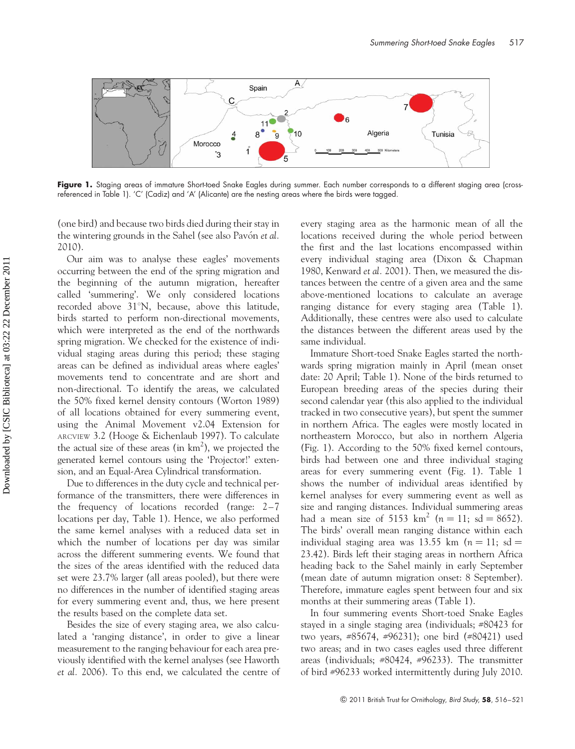

Figure 1. Staging areas of immature Short-toed Snake Eagles during summer. Each number corresponds to a different staging area (crossreferenced in Table 1). 'C' (Cadiz) and 'A' (Alicante) are the nesting areas where the birds were tagged.

(one bird) and because two birds died during their stay in the wintering grounds in the Sahel (see also Pavón et al. 2010).

Our aim was to analyse these eagles' movements occurring between the end of the spring migration and the beginning of the autumn migration, hereafter called 'summering'. We only considered locations recorded above  $31^{\circ}$ N, because, above this latitude, birds started to perform non-directional movements, which were interpreted as the end of the northwards spring migration. We checked for the existence of individual staging areas during this period; these staging areas can be defined as individual areas where eagles' movements tend to concentrate and are short and non-directional. To identify the areas, we calculated the 50% fixed kernel density contours (Worton 1989) of all locations obtained for every summering event, using the Animal Movement v2.04 Extension for ARCVIEW 3.2 (Hooge & Eichenlaub 1997). To calculate the actual size of these areas (in  $km<sup>2</sup>$ ), we projected the generated kernel contours using the 'Projector!' extension, and an Equal-Area Cylindrical transformation.

Due to differences in the duty cycle and technical performance of the transmitters, there were differences in the frequency of locations recorded (range: 2–7 locations per day, Table 1). Hence, we also performed the same kernel analyses with a reduced data set in which the number of locations per day was similar across the different summering events. We found that the sizes of the areas identified with the reduced data set were 23.7% larger (all areas pooled), but there were no differences in the number of identified staging areas for every summering event and, thus, we here present the results based on the complete data set.

Besides the size of every staging area, we also calculated a 'ranging distance', in order to give a linear measurement to the ranging behaviour for each area previously identified with the kernel analyses (see Haworth et al. 2006). To this end, we calculated the centre of every staging area as the harmonic mean of all the locations received during the whole period between the first and the last locations encompassed within every individual staging area (Dixon & Chapman 1980, Kenward et al. 2001). Then, we measured the distances between the centre of a given area and the same above-mentioned locations to calculate an average ranging distance for every staging area (Table 1). Additionally, these centres were also used to calculate the distances between the different areas used by the same individual.

Immature Short-toed Snake Eagles started the northwards spring migration mainly in April (mean onset date: 20 April; Table 1). None of the birds returned to European breeding areas of the species during their second calendar year (this also applied to the individual tracked in two consecutive years), but spent the summer in northern Africa. The eagles were mostly located in northeastern Morocco, but also in northern Algeria (Fig. 1). According to the 50% fixed kernel contours, birds had between one and three individual staging areas for every summering event (Fig. 1). Table 1 shows the number of individual areas identified by kernel analyses for every summering event as well as size and ranging distances. Individual summering areas had a mean size of 5153 km<sup>2</sup> ( $n = 11$ ; sd = 8652). The birds' overall mean ranging distance within each individual staging area was 13.55 km ( $n = 11$ ; sd = 23.42). Birds left their staging areas in northern Africa heading back to the Sahel mainly in early September (mean date of autumn migration onset: 8 September). Therefore, immature eagles spent between four and six months at their summering areas (Table 1).

In four summering events Short-toed Snake Eagles stayed in a single staging area (individuals; #80423 for two years, #85674, #96231); one bird (#80421) used two areas; and in two cases eagles used three different areas (individuals; #80424, #96233). The transmitter of bird #96233 worked intermittently during July 2010.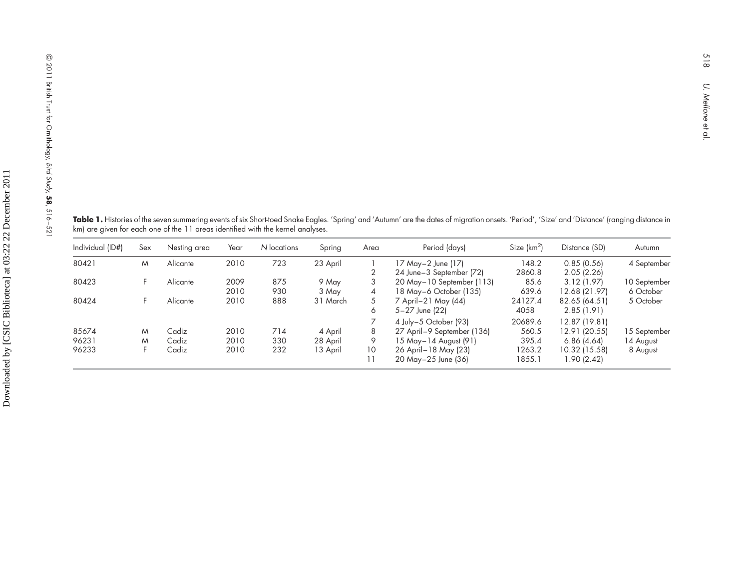**Table 1.** Histories of the seven summering events of six Short-toed Snake Eagles. 'Spring' and 'Autumn' are the dates of migration onsets. 'Period', 'Size' and 'Distance' (ranging distance in km) are <sup>g</sup>iven for each one of the <sup>11</sup> areas identified with the kernel analyses.

| Individual (ID#) | Sex | Nesting area | Year | N locations | Spring   | Area           | Period (days)               | Size $(km^2)$ | Distance (SD) | Autumn       |
|------------------|-----|--------------|------|-------------|----------|----------------|-----------------------------|---------------|---------------|--------------|
| 80421            | M   | Alicante     | 2010 | 723         | 23 April |                | 17 May-2 June (17)          | 148.2         | $0.85$ (0.56) | 4 September  |
|                  |     |              |      |             |          |                | 24 June-3 September (72)    | 2860.8        | 2.05(2.26)    |              |
| 80423            |     | Alicante     | 2009 | 875         | 9 May    | 3              | 20 May – 10 September (113) | 85.6          | 3.12(1.97)    | 10 September |
|                  |     |              | 2010 | 930         | 3 May    | $\overline{4}$ | 18 May-6 October (135)      | 639.6         | 12.68 (21.97) | 6 October    |
| 80424            |     | Alicante     | 2010 | 888         | 31 March | 5              | 7 April - 21 May (44)       | 24127.4       | 82.65 (64.51) | 5 October    |
|                  |     |              |      |             |          | 6              | 5-27 June (22)              | 4058          | 2.85(1.91)    |              |
|                  |     |              |      |             |          |                | 4 July-5 October (93)       | 20689.6       | 12.87 (19.81) |              |
| 85674            | M   | Cadiz        | 2010 | 714         | 4 April  | 8              | 27 April-9 September (136)  | 560.5         | 12.91 (20.55) | 15 September |
| 96231            | M   | Cadiz        | 2010 | 330         | 28 April | 9              | 15 May-14 August (91)       | 395.4         | 6.86(4.64)    | 14 August    |
| 96233            |     | Cadiz        | 2010 | 232         | 13 April | 10             | 26 April-18 May (23)        | 1263.2        | 10.32 (15.58) | 8 August     |
|                  |     |              |      |             |          |                | 20 May-25 June (36)         | 1855.1        | 1.90 (2.42)   |              |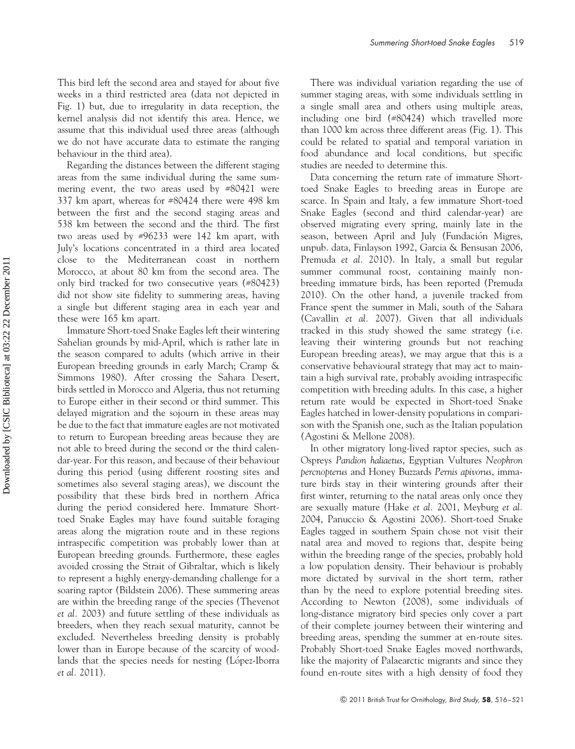This bird left the second area and stayed for about five weeks in a third restricted area (data not depicted in Fig. 1) but, due to irregularity in data reception, the kernel analysis did not identify this area. Hence, we assume that this individual used three areas (although we do not have accurate data to estimate the ranging behaviour in the third area).

Regarding the distances between the different staging areas from the same individual during the same summering event, the two areas used by #80421 were 337 km apart, whereas for #80424 there were 498 km between the first and the second staging areas and 538 km between the second and the third. The first two areas used by #96233 were 142 km apart, with July's locations concentrated in a third area located close to the Mediterranean coast in northern Morocco, at about 80 km from the second area. The only bird tracked for two consecutive years (#80423) did not show site fidelity to summering areas, having a single but different staging area in each year and these were 165 km apart.

Immature Short-toed Snake Eagles left their wintering Sahelian grounds by mid-April, which is rather late in the season compared to adults (which arrive in their European breeding grounds in early March; Cramp & Simmons 1980). After crossing the Sahara Desert, birds settled in Morocco and Algeria, thus not returning to Europe either in their second or third summer. This delayed migration and the sojourn in these areas may be due to the fact that immature eagles are not motivated to return to European breeding areas because they are not able to breed during the second or the third calendar-year. For this reason, and because of their behaviour during this period (using different roosting sites and sometimes also several staging areas), we discount the possibility that these birds bred in northern Africa during the period considered here. Immature Shorttoed Snake Eagles may have found suitable foraging areas along the migration route and in these regions intraspecific competition was probably lower than at European breeding grounds. Furthermore, these eagles avoided crossing the Strait of Gibraltar, which is likely to represent a highly energy-demanding challenge for a soaring raptor (Bildstein 2006). These summering areas are within the breeding range of the species (Thevenot et al. 2003) and future settling of these individuals as breeders, when they reach sexual maturity, cannot be excluded. Nevertheless breeding density is probably lower than in Europe because of the scarcity of woodlands that the species needs for nesting (López-Iborra et al. 2011).

There was individual variation regarding the use of summer staging areas, with some individuals settling in a single small area and others using multiple areas, including one bird (#80424) which travelled more than 1000 km across three different areas (Fig. 1). This could be related to spatial and temporal variation in food abundance and local conditions, but specific studies are needed to determine this.

Data concerning the return rate of immature Shorttoed Snake Eagles to breeding areas in Europe are scarce. In Spain and Italy, a few immature Short-toed Snake Eagles (second and third calendar-year) are observed migrating every spring, mainly late in the season, between April and July (Fundación Migres, unpub. data, Finlayson 1992, Garcia & Bensusan 2006, Premuda et al. 2010). In Italy, a small but regular summer communal roost, containing mainly nonbreeding immature birds, has been reported (Premuda 2010). On the other hand, a juvenile tracked from France spent the summer in Mali, south of the Sahara (Cavallin et al. 2007). Given that all individuals tracked in this study showed the same strategy (i.e. leaving their wintering grounds but not reaching European breeding areas), we may argue that this is a conservative behavioural strategy that may act to maintain a high survival rate, probably avoiding intraspecific competition with breeding adults. In this case, a higher return rate would be expected in Short-toed Snake Eagles hatched in lower-density populations in comparison with the Spanish one, such as the Italian population (Agostini & Mellone 2008).

In other migratory long-lived raptor species, such as Ospreys Pandion haliaetus, Egyptian Vultures Neophron percnopterus and Honey Buzzards Pernis apivorus, immature birds stay in their wintering grounds after their first winter, returning to the natal areas only once they are sexually mature (Hake et al. 2001, Meyburg et al. 2004, Panuccio & Agostini 2006). Short-toed Snake Eagles tagged in southern Spain chose not visit their natal area and moved to regions that, despite being within the breeding range of the species, probably hold a low population density. Their behaviour is probably more dictated by survival in the short term, rather than by the need to explore potential breeding sites. According to Newton (2008), some individuals of long-distance migratory bird species only cover a part of their complete journey between their wintering and breeding areas, spending the summer at en-route sites. Probably Short-toed Snake Eagles moved northwards, like the majority of Palaearctic migrants and since they found en-route sites with a high density of food they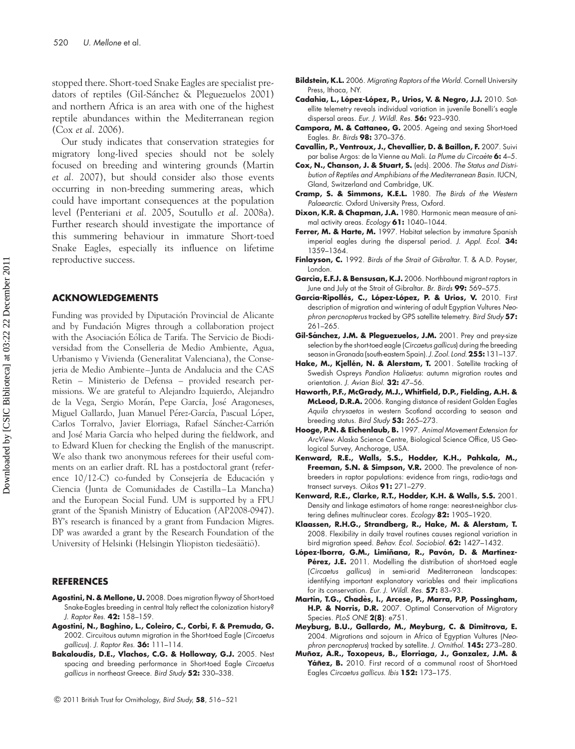stopped there. Short-toed Snake Eagles are specialist predators of reptiles (Gil-Sánchez & Pleguezuelos 2001) and northern Africa is an area with one of the highest reptile abundances within the Mediterranean region (Cox et al. 2006).

Our study indicates that conservation strategies for migratory long-lived species should not be solely focused on breeding and wintering grounds (Martin et al. 2007), but should consider also those events occurring in non-breeding summering areas, which could have important consequences at the population level (Penteriani et al. 2005, Soutullo et al. 2008a). Further research should investigate the importance of this summering behaviour in immature Short-toed Snake Eagles, especially its influence on lifetime reproductive success.

### ACKNOWLEDGEMENTS

Funding was provided by Diputación Provincial de Alicante and by Fundación Migres through a collaboration project with the Asociación Eólica de Tarifa. The Servicio de Biodiversidad from the Conselleria de Medio Ambiente, Agua, Urbanismo y Vivienda (Generalitat Valenciana), the Consejeria de Medio Ambiente – Junta de Andalucia and the CAS Retin – Ministerio de Defensa – provided research permissions. We are grateful to Alejandro Izquierdo, Alejandro de la Vega, Sergio Morán, Pepe García, José Aragoneses, Miguel Gallardo, Juan Manuel Pérez-García, Pascual López, Carlos Torralvo, Javier Elorriaga, Rafael Sánchez-Carrión and José Maria García who helped during the fieldwork, and to Edward Kluen for checking the English of the manuscript. We also thank two anonymous referees for their useful comments on an earlier draft. RL has a postdoctoral grant (reference 10/12-C) co-funded by Consejería de Educación y Ciencia (Junta de Comunidades de Castilla –La Mancha) and the European Social Fund. UM is supported by a FPU grant of the Spanish Ministry of Education (AP2008-0947). BY's research is financed by a grant from Fundacion Migres. DP was awarded a grant by the Research Foundation of the University of Helsinki (Helsingin Yliopiston tiedesäätiö).

#### **REFERENCES**

- Agostini, N. & Mellone, U. 2008. Does migration flyway of Short-toed Snake-Eagles breeding in central Italy reflect the colonization history? J. Raptor Res. 42: 158–159.
- Agostini, N., Baghino, L., Coleiro, C., Corbi, F. & Premuda, G. 2002. Circuitous autumn migration in the Short-toed Eagle (Circaetus gallicus). J. Raptor Res. 36: 111-114.
- Bakaloudis, D.E., Vlachos, C.G. & Holloway, G.J. 2005. Nest spacing and breeding performance in Short-toed Eagle Circaetus gallicus in northeast Greece. Bird Study 52: 330-338.
- Bildstein, K.L. 2006. Migrating Raptors of the World. Cornell University Press, Ithaca, NY.
- Cadahia, L., López-López, P., Urios, V. & Negro, J.J. 2010. Satellite telemetry reveals individual variation in juvenile Bonelli's eagle dispersal areas. Eur. J. Wildl. Res. 56: 923-930.
- Campora, M. & Cattaneo, G. 2005. Ageing and sexing Short-toed Eagles. Br. Birds 98: 370–376.
- Cavallin, P., Ventroux, J., Chevallier, D. & Baillon, F. 2007. Suivi par balise Argos: de la Vienne au Mali. La Plume du Circaète 6: 4-5.
- Cox, N., Chanson, J. & Stuart, S. (eds). 2006. The Status and Distribution of Reptiles and Amphibians of the Mediterranean Basin. IUCN, Gland, Switzerland and Cambridge, UK.
- Cramp, S. & Simmons, K.E.L. 1980. The Birds of the Western Palaearctic. Oxford University Press, Oxford.
- Dixon, K.R. & Chapman, J.A. 1980. Harmonic mean measure of animal activity areas. Ecology 61: 1040-1044.
- Ferrer, M. & Harte, M. 1997. Habitat selection by immature Spanish imperial eagles during the dispersal period. J. Appl. Ecol. 34: 1359–1364.
- Finlayson, C. 1992. Birds of the Strait of Gibraltar. T. & A.D. Poyser, London.
- Garcia, E.F.J. & Bensusan, K.J. 2006. Northbound migrant raptors in June and July at the Strait of Gibraltar. Br. Birds 99: 569-575.
- García-Ripollés, C., López-López, P. & Urios, V. 2010. First description of migration and wintering of adult Egyptian Vultures Neophron percnopterus tracked by GPS satellite telemetry. Bird Study 57: 261–265.
- Gil-Sánchez, J.M. & Pleguezuelos, J.M. 2001. Prey and prey-size selection by the short-toed eagle (Circaetus gallicus) during the breeding season in Granada (south-eastern Spain). J. Zool. Lond. 255: 131-137.
- Hake, M., Kjellén, N. & Alerstam, T. 2001. Satellite tracking of Swedish Ospreys Pandion Haliaetus: autumn migration routes and orientation. J. Avian Biol. 32: 47-56.
- Haworth, P.F., McGrady, M.J., Whitfield, D.P., Fielding, A.H. & McLeod, D.R.A. 2006. Ranging distance of resident Golden Eagles Aquila chrysaetos in western Scotland according to season and breeding status. Bird Study 53: 265–273.
- Hooge, P.N. & Eichenlaub, B. 1997. Animal Movement Extension for ArcView. Alaska Science Centre, Biological Science Office, US Geological Survey, Anchorage, USA.
- Kenward, R.E., Walls, S.S., Hodder, K.H., Pahkala, M., Freeman, S.N. & Simpson, V.R. 2000. The prevalence of nonbreeders in raptor populations: evidence from rings, radio-tags and transect surveys. Oikos 91: 271-279.
- Kenward, R.E., Clarke, R.T., Hodder, K.H. & Walls, S.S. 2001. Density and linkage estimators of home range: nearest-neighbor clustering defines multinuclear cores. Ecology 82: 1905-1920.
- Klaassen, R.H.G., Strandberg, R., Hake, M. & Alerstam, T. 2008. Flexibility in daily travel routines causes regional variation in bird migration speed. Behav. Ecol. Sociobiol. 62: 1427–1432.
- López-Iborra, G.M., Limiñana, R., Pavón, D. & Martínez-Pérez, J.E. 2011. Modelling the distribution of short-toed eagle (Circaetus gallicus) in semi-arid Mediterranean landscapes: identifying important explanatory variables and their implications for its conservation. Eur. J. Wildl. Res. 57: 83–93.
- Martin, T.G., Chadès, I., Arcese, P., Marra, P.P, Possingham, H.P. & Norris, D.R. 2007. Optimal Conservation of Migratory Species. PLoS ONE 2(8): e751.
- Meyburg, B.U., Gallardo, M., Meyburg, C. & Dimitrova, E. 2004. Migrations and sojourn in Africa of Egyptian Vultures (Neophron percnopterus) tracked by satellite. J. Ornithol. 145: 273-280.
- Muñoz, A.R., Toxopeus, B., Elorriaga, J., Gonzalez, J.M. & Yáñez, B. 2010. First record of a communal roost of Short-toed Eagles Circaetus gallicus. Ibis 152: 173–175.